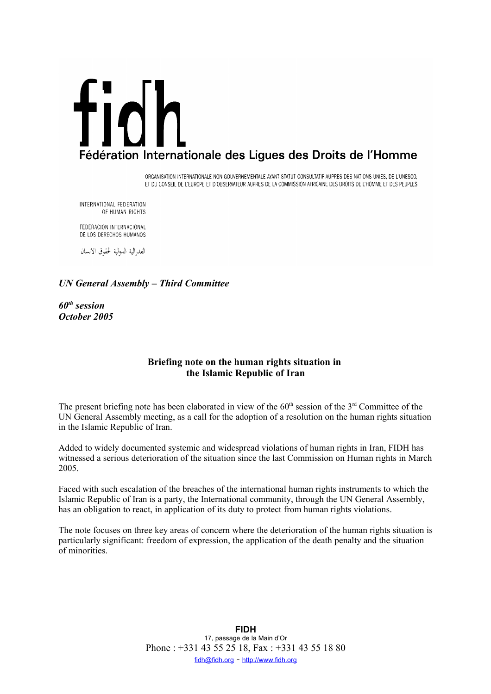# fidh Fédération Internationale des Ligues des Droits de l'Homme

ORGANISATION INTERNATIONALE NON GOUVERNEMENTALE AYANT STATUT CONSULTATIF AUPRES DES NATIONS UNIES, DE L'UNESCO, ET DU CONSEIL DE L'EUROPE ET D'OBSERVATEUR AUPRES DE LA COMMISSION AFRICAINE DES DROITS DE L'HOMME ET DES PEUPLES

INTERNATIONAL FEDERATION OF HUMAN RIGHTS

FEDERACION INTERNACIONAL DE LOS DERECHOS HUMANOS

الفدرالية الدولية لحقوق الانسان

# *UN General Assembly – Third Committee*

*60th session October 2005*

# **Briefing note on the human rights situation in the Islamic Republic of Iran**

The present briefing note has been elaborated in view of the  $60<sup>th</sup>$  session of the  $3<sup>rd</sup>$  Committee of the UN General Assembly meeting, as a call for the adoption of a resolution on the human rights situation in the Islamic Republic of Iran.

Added to widely documented systemic and widespread violations of human rights in Iran, FIDH has witnessed a serious deterioration of the situation since the last Commission on Human rights in March 2005.

Faced with such escalation of the breaches of the international human rights instruments to which the Islamic Republic of Iran is a party, the International community, through the UN General Assembly, has an obligation to react, in application of its duty to protect from human rights violations.

The note focuses on three key areas of concern where the deterioration of the human rights situation is particularly significant: freedom of expression, the application of the death penalty and the situation of minorities.

> **FIDH** 17, passage de la Main d'Or Phone : +331 43 55 25 18, Fax : +331 43 55 18 80 fidh@fidh.org - http://www.fidh.org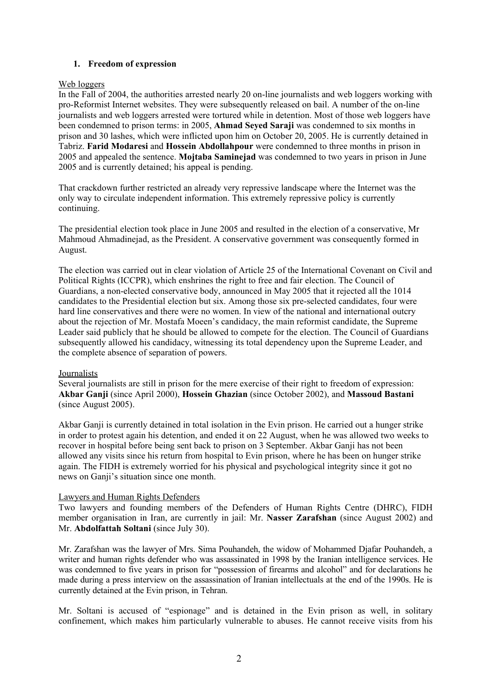# **1. Freedom of expression**

### Web loggers

In the Fall of 2004, the authorities arrested nearly 20 on-line journalists and web loggers working with pro-Reformist Internet websites. They were subsequently released on bail. A number of the on-line journalists and web loggers arrested were tortured while in detention. Most of those web loggers have been condemned to prison terms: in 2005, **Ahmad Seyed Saraji** was condemned to six months in prison and 30 lashes, which were inflicted upon him on October 20, 2005. He is currently detained in Tabriz. **Farid Modaresi** and **Hossein Abdollahpour** were condemned to three months in prison in 2005 and appealed the sentence. **Mojtaba Saminejad** was condemned to two years in prison in June 2005 and is currently detained; his appeal is pending.

That crackdown further restricted an already very repressive landscape where the Internet was the only way to circulate independent information. This extremely repressive policy is currently continuing.

The presidential election took place in June 2005 and resulted in the election of a conservative, Mr Mahmoud Ahmadinejad, as the President. A conservative government was consequently formed in August.

The election was carried out in clear violation of Article 25 of the International Covenant on Civil and Political Rights (ICCPR), which enshrines the right to free and fair election. The Council of Guardians, a non-elected conservative body, announced in May 2005 that it rejected all the 1014 candidates to the Presidential election but six. Among those six pre-selected candidates, four were hard line conservatives and there were no women. In view of the national and international outcry about the rejection of Mr. Mostafa Moeen's candidacy, the main reformist candidate, the Supreme Leader said publicly that he should be allowed to compete for the election. The Council of Guardians subsequently allowed his candidacy, witnessing its total dependency upon the Supreme Leader, and the complete absence of separation of powers.

### Journalists

Several journalists are still in prison for the mere exercise of their right to freedom of expression: **Akbar Ganji** (since April 2000), **Hossein Ghazian** (since October 2002), and **Massoud Bastani** (since August 2005).

Akbar Ganji is currently detained in total isolation in the Evin prison. He carried out a hunger strike in order to protest again his detention, and ended it on 22 August, when he was allowed two weeks to recover in hospital before being sent back to prison on 3 September. Akbar Ganji has not been allowed any visits since his return from hospital to Evin prison, where he has been on hunger strike again. The FIDH is extremely worried for his physical and psychological integrity since it got no news on Ganii's situation since one month.

### Lawyers and Human Rights Defenders

Two lawyers and founding members of the Defenders of Human Rights Centre (DHRC), FIDH member organisation in Iran, are currently in jail: Mr. **Nasser Zarafshan** (since August 2002) and Mr. **Abdolfattah Soltani** (since July 30).

Mr. Zarafshan was the lawyer of Mrs. Sima Pouhandeh, the widow of Mohammed Djafar Pouhandeh, a writer and human rights defender who was assassinated in 1998 by the Iranian intelligence services. He was condemned to five years in prison for "possession of firearms and alcohol" and for declarations he made during a press interview on the assassination of Iranian intellectuals at the end of the 1990s. He is currently detained at the Evin prison, in Tehran.

Mr. Soltani is accused of "espionage" and is detained in the Evin prison as well, in solitary confinement, which makes him particularly vulnerable to abuses. He cannot receive visits from his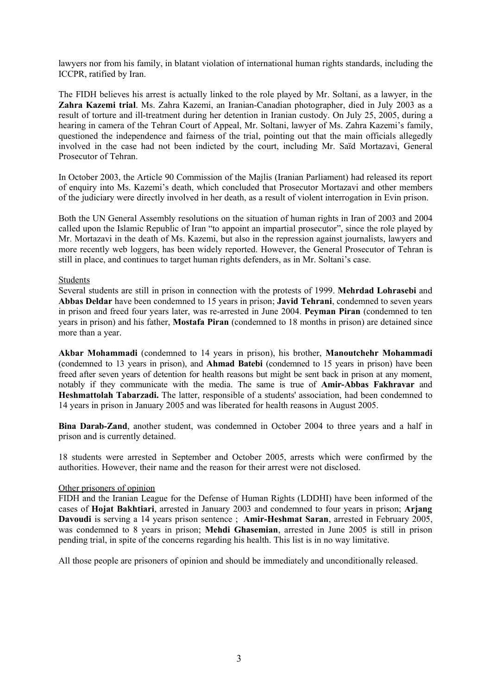lawyers nor from his family, in blatant violation of international human rights standards, including the ICCPR, ratified by Iran.

The FIDH believes his arrest is actually linked to the role played by Mr. Soltani, as a lawyer, in the **Zahra Kazemi trial**. Ms. Zahra Kazemi, an Iranian-Canadian photographer, died in July 2003 as a result of torture and ill-treatment during her detention in Iranian custody. On July 25, 2005, during a hearing in camera of the Tehran Court of Appeal, Mr. Soltani, lawyer of Ms. Zahra Kazemi's family, questioned the independence and fairness of the trial, pointing out that the main officials allegedly involved in the case had not been indicted by the court, including Mr. Saïd Mortazavi, General Prosecutor of Tehran.

In October 2003, the Article 90 Commission of the Majlis (Iranian Parliament) had released its report of enquiry into Ms. Kazemi's death, which concluded that Prosecutor Mortazavi and other members of the judiciary were directly involved in her death, as a result of violent interrogation in Evin prison.

Both the UN General Assembly resolutions on the situation of human rights in Iran of 2003 and 2004 called upon the Islamic Republic of Iran "to appoint an impartial prosecutor", since the role played by Mr. Mortazavi in the death of Ms. Kazemi, but also in the repression against journalists, lawyers and more recently web loggers, has been widely reported. However, the General Prosecutor of Tehran is still in place, and continues to target human rights defenders, as in Mr. Soltani's case.

### **Students**

Several students are still in prison in connection with the protests of 1999. **Mehrdad Lohrasebi** and **Abbas Deldar** have been condemned to 15 years in prison; **Javid Tehrani**, condemned to seven years in prison and freed four years later, was re-arrested in June 2004. **Peyman Piran** (condemned to ten years in prison) and his father, **Mostafa Piran** (condemned to 18 months in prison) are detained since more than a year.

**Akbar Mohammadi** (condemned to 14 years in prison), his brother, **Manoutchehr Mohammadi** (condemned to 13 years in prison), and **Ahmad Batebi** (condemned to 15 years in prison) have been freed after seven years of detention for health reasons but might be sent back in prison at any moment, notably if they communicate with the media. The same is true of **Amir-Abbas Fakhravar** and **Heshmattolah Tabarzadi.** The latter, responsible of a students' association, had been condemned to 14 years in prison in January 2005 and was liberated for health reasons in August 2005.

**Bina Darab-Zand**, another student, was condemned in October 2004 to three years and a half in prison and is currently detained.

18 students were arrested in September and October 2005, arrests which were confirmed by the authorities. However, their name and the reason for their arrest were not disclosed.

### Other prisoners of opinion

FIDH and the Iranian League for the Defense of Human Rights (LDDHI) have been informed of the cases of **Hojat Bakhtiari**, arrested in January 2003 and condemned to four years in prison; **Arjang Davoudi** is serving a 14 years prison sentence ; **Amir-Heshmat Saran**, arrested in February 2005, was condemned to 8 years in prison; **Mehdi Ghasemian**, arrested in June 2005 is still in prison pending trial, in spite of the concerns regarding his health. This list is in no way limitative.

All those people are prisoners of opinion and should be immediately and unconditionally released.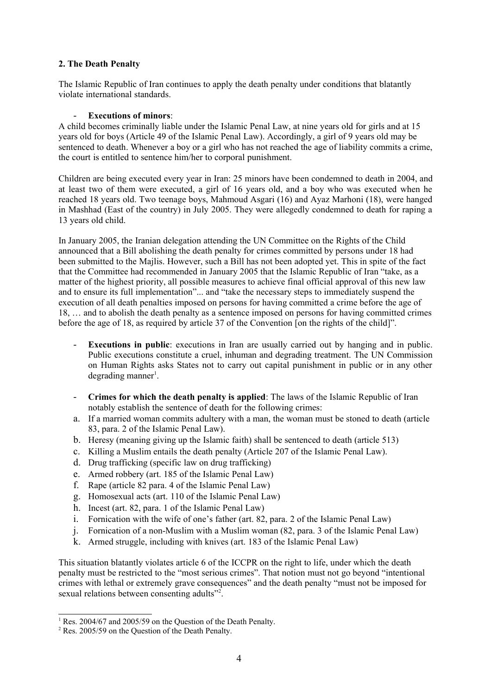# **2. The Death Penalty**

The Islamic Republic of Iran continues to apply the death penalty under conditions that blatantly violate international standards.

### **Executions of minors:**

A child becomes criminally liable under the Islamic Penal Law, at nine years old for girls and at 15 years old for boys (Article 49 of the Islamic Penal Law). Accordingly, a girl of 9 years old may be sentenced to death. Whenever a boy or a girl who has not reached the age of liability commits a crime, the court is entitled to sentence him/her to corporal punishment.

Children are being executed every year in Iran: 25 minors have been condemned to death in 2004, and at least two of them were executed, a girl of 16 years old, and a boy who was executed when he reached 18 years old. Two teenage boys, Mahmoud Asgari (16) and Ayaz Marhoni (18), were hanged in Mashhad (East of the country) in July 2005. They were allegedly condemned to death for raping a 13 years old child.

In January 2005, the Iranian delegation attending the UN Committee on the Rights of the Child announced that a Bill abolishing the death penalty for crimes committed by persons under 18 had been submitted to the Majlis. However, such a Bill has not been adopted yet. This in spite of the fact that the Committee had recommended in January 2005 that the Islamic Republic of Iran "take, as a matter of the highest priority, all possible measures to achieve final official approval of this new law and to ensure its full implementation"... and "take the necessary steps to immediately suspend the execution of all death penalties imposed on persons for having committed a crime before the age of 18, … and to abolish the death penalty as a sentence imposed on persons for having committed crimes before the age of 18, as required by article 37 of the Convention [on the rights of the child]".

- **Executions in public**: executions in Iran are usually carried out by hanging and in public. Public executions constitute a cruel, inhuman and degrading treatment. The UN Commission on Human Rights asks States not to carry out capital punishment in public or in any other degrading manner<sup>1</sup>.
- **Crimes for which the death penalty is applied**: The laws of the Islamic Republic of Iran notably establish the sentence of death for the following crimes:
- a. If a married woman commits adultery with a man, the woman must be stoned to death (article 83, para. 2 of the Islamic Penal Law).
- b. Heresy (meaning giving up the Islamic faith) shall be sentenced to death (article 513)
- c. Killing a Muslim entails the death penalty (Article 207 of the Islamic Penal Law).
- d. Drug trafficking (specific law on drug trafficking)
- e. Armed robbery (art. 185 of the Islamic Penal Law)
- f. Rape (article 82 para. 4 of the Islamic Penal Law)
- g. Homosexual acts (art. 110 of the Islamic Penal Law)
- h. Incest (art. 82, para. 1 of the Islamic Penal Law)
- i. Fornication with the wife of one's father (art. 82, para. 2 of the Islamic Penal Law)
- j. Fornication of a non-Muslim with a Muslim woman (82, para. 3 of the Islamic Penal Law)
- k. Armed struggle, including with knives (art. 183 of the Islamic Penal Law)

This situation blatantly violates article 6 of the ICCPR on the right to life, under which the death penalty must be restricted to the "most serious crimes". That notion must not go beyond "intentional crimes with lethal or extremely grave consequences" and the death penalty "must not be imposed for sexual relations between consenting adults"<sup>2</sup>.

<sup>&</sup>lt;sup>1</sup> Res. 2004/67 and 2005/59 on the Question of the Death Penalty.

<sup>2</sup> Res. 2005/59 on the Question of the Death Penalty.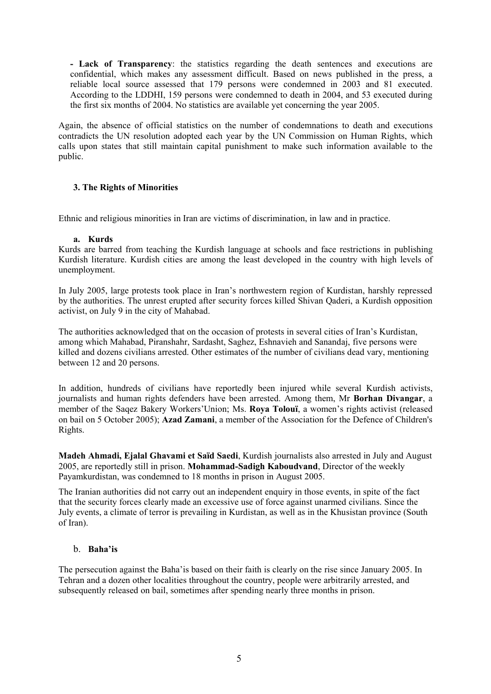**- Lack of Transparency**: the statistics regarding the death sentences and executions are confidential, which makes any assessment difficult. Based on news published in the press, a reliable local source assessed that 179 persons were condemned in 2003 and 81 executed. According to the LDDHI, 159 persons were condemned to death in 2004, and 53 executed during the first six months of 2004. No statistics are available yet concerning the year 2005.

Again, the absence of official statistics on the number of condemnations to death and executions contradicts the UN resolution adopted each year by the UN Commission on Human Rights, which calls upon states that still maintain capital punishment to make such information available to the public.

# **3. The Rights of Minorities**

Ethnic and religious minorities in Iran are victims of discrimination, in law and in practice.

# **a. Kurds**

Kurds are barred from teaching the Kurdish language at schools and face restrictions in publishing Kurdish literature. Kurdish cities are among the least developed in the country with high levels of unemployment.

In July 2005, large protests took place in Iran's northwestern region of Kurdistan, harshly repressed by the authorities. The unrest erupted after security forces killed Shivan Qaderi, a Kurdish opposition activist, on July 9 in the city of Mahabad.

The authorities acknowledged that on the occasion of protests in several cities of Iran's Kurdistan, among which Mahabad, Piranshahr, Sardasht, Saghez, Eshnavieh and Sanandaj, five persons were killed and dozens civilians arrested. Other estimates of the number of civilians dead vary, mentioning between 12 and 20 persons.

In addition, hundreds of civilians have reportedly been injured while several Kurdish activists, journalists and human rights defenders have been arrested. Among them, Mr **Borhan Divangar**, a member of the Saqez Bakery Workers'Union; Ms. **Roya Tolouï**, a women's rights activist (released on bail on 5 October 2005); **Azad Zamani**, a member of the Association for the Defence of Children's Rights.

**Madeh Ahmadi, Ejalal Ghavami et Saïd Saedi**, Kurdish journalists also arrested in July and August 2005, are reportedly still in prison. **Mohammad-Sadigh Kaboudvand**, Director of the weekly Payamkurdistan, was condemned to 18 months in prison in August 2005.

The Iranian authorities did not carry out an independent enquiry in those events, in spite of the fact that the security forces clearly made an excessive use of force against unarmed civilians. Since the July events, a climate of terror is prevailing in Kurdistan, as well as in the Khusistan province (South of Iran).

# b. **Baha'is**

The persecution against the Baha'is based on their faith is clearly on the rise since January 2005. In Tehran and a dozen other localities throughout the country, people were arbitrarily arrested, and subsequently released on bail, sometimes after spending nearly three months in prison.